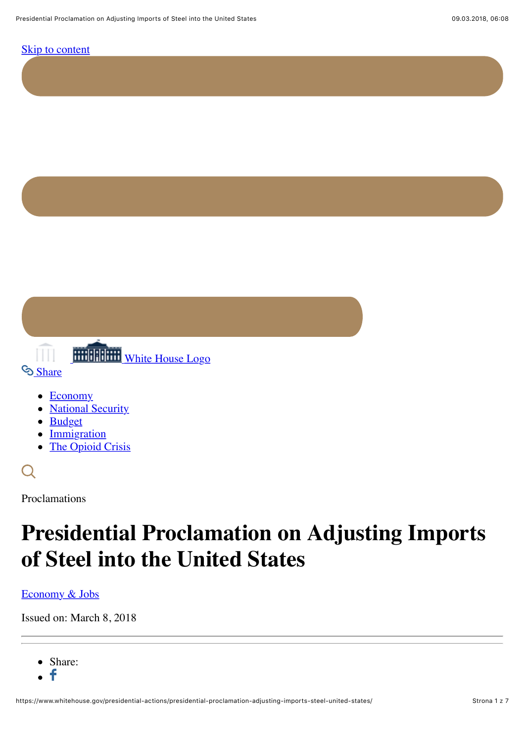

## <span id="page-0-0"></span>**Presidential Proclamation on Adjusting Imports of Steel into the United States**

[Economy & Jobs](https://www.whitehouse.gov/issues/economy-jobs/)

Issued on: March 8, 2018

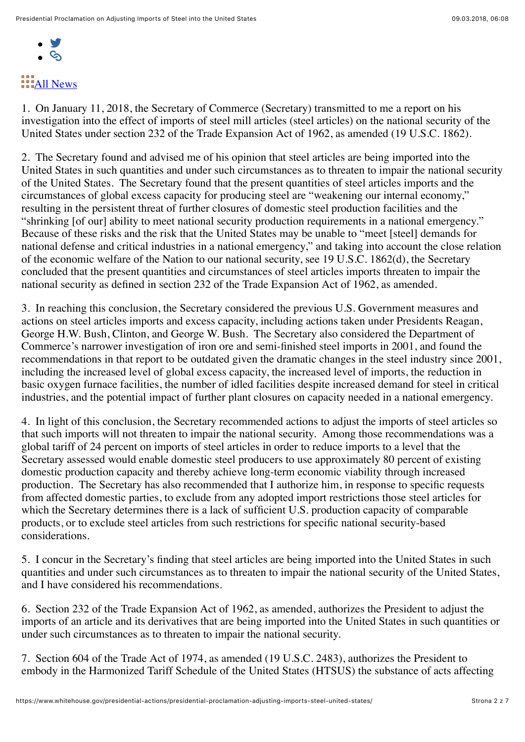$\bullet$  G

## **[All News](https://www.whitehouse.gov/news/)**

1. On January 11, 2018, the Secretary of Commerce (Secretary) transmitted to me a report on his investigation into the effect of imports of steel mill articles (steel articles) on the national security of the United States under section 232 of the Trade Expansion Act of 1962, as amended (19 U.S.C. 1862).

2. The Secretary found and advised me of his opinion that steel articles are being imported into the United States in such quantities and under such circumstances as to threaten to impair the national security of the United States. The Secretary found that the present quantities of steel articles imports and the circumstances of global excess capacity for producing steel are "weakening our internal economy," resulting in the persistent threat of further closures of domestic steel production facilities and the "shrinking [of our] ability to meet national security production requirements in a national emergency." Because of these risks and the risk that the United States may be unable to "meet [steel] demands for national defense and critical industries in a national emergency," and taking into account the close relation of the economic welfare of the Nation to our national security, see 19 U.S.C. 1862(d), the Secretary concluded that the present quantities and circumstances of steel articles imports threaten to impair the national security as defined in section 232 of the Trade Expansion Act of 1962, as amended.

3. In reaching this conclusion, the Secretary considered the previous U.S. Government measures and actions on steel articles imports and excess capacity, including actions taken under Presidents Reagan, George H.W. Bush, Clinton, and George W. Bush. The Secretary also considered the Department of Commerce's narrower investigation of iron ore and semi-finished steel imports in 2001, and found the recommendations in that report to be outdated given the dramatic changes in the steel industry since 2001, including the increased level of global excess capacity, the increased level of imports, the reduction in basic oxygen furnace facilities, the number of idled facilities despite increased demand for steel in critical industries, and the potential impact of further plant closures on capacity needed in a national emergency.

4. In light of this conclusion, the Secretary recommended actions to adjust the imports of steel articles so that such imports will not threaten to impair the national security. Among those recommendations was a global tariff of 24 percent on imports of steel articles in order to reduce imports to a level that the Secretary assessed would enable domestic steel producers to use approximately 80 percent of existing domestic production capacity and thereby achieve long-term economic viability through increased production. The Secretary has also recommended that I authorize him, in response to specific requests from affected domestic parties, to exclude from any adopted import restrictions those steel articles for which the Secretary determines there is a lack of sufficient U.S. production capacity of comparable products, or to exclude steel articles from such restrictions for specific national security-based considerations.

5. I concur in the Secretary's finding that steel articles are being imported into the United States in such quantities and under such circumstances as to threaten to impair the national security of the United States, and I have considered his recommendations.

6. Section 232 of the Trade Expansion Act of 1962, as amended, authorizes the President to adjust the imports of an article and its derivatives that are being imported into the United States in such quantities or under such circumstances as to threaten to impair the national security.

7. Section 604 of the Trade Act of 1974, as amended (19 U.S.C. 2483), authorizes the President to embody in the Harmonized Tariff Schedule of the United States (HTSUS) the substance of acts affecting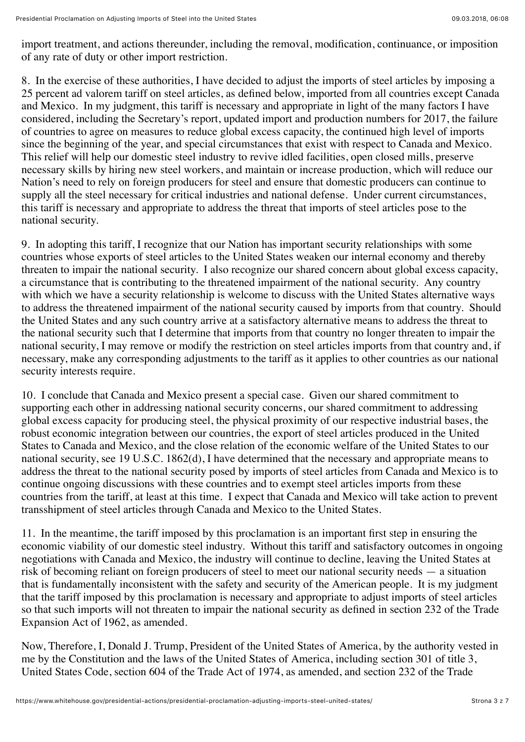import treatment, and actions thereunder, including the removal, modification, continuance, or imposition of any rate of duty or other import restriction.

8. In the exercise of these authorities, I have decided to adjust the imports of steel articles by imposing a 25 percent ad valorem tariff on steel articles, as defined below, imported from all countries except Canada and Mexico. In my judgment, this tariff is necessary and appropriate in light of the many factors I have considered, including the Secretary's report, updated import and production numbers for 2017, the failure of countries to agree on measures to reduce global excess capacity, the continued high level of imports since the beginning of the year, and special circumstances that exist with respect to Canada and Mexico. This relief will help our domestic steel industry to revive idled facilities, open closed mills, preserve necessary skills by hiring new steel workers, and maintain or increase production, which will reduce our Nation's need to rely on foreign producers for steel and ensure that domestic producers can continue to supply all the steel necessary for critical industries and national defense. Under current circumstances, this tariff is necessary and appropriate to address the threat that imports of steel articles pose to the national security.

9. In adopting this tariff, I recognize that our Nation has important security relationships with some countries whose exports of steel articles to the United States weaken our internal economy and thereby threaten to impair the national security. I also recognize our shared concern about global excess capacity, a circumstance that is contributing to the threatened impairment of the national security. Any country with which we have a security relationship is welcome to discuss with the United States alternative ways to address the threatened impairment of the national security caused by imports from that country. Should the United States and any such country arrive at a satisfactory alternative means to address the threat to the national security such that I determine that imports from that country no longer threaten to impair the national security, I may remove or modify the restriction on steel articles imports from that country and, if necessary, make any corresponding adjustments to the tariff as it applies to other countries as our national security interests require.

10. I conclude that Canada and Mexico present a special case. Given our shared commitment to supporting each other in addressing national security concerns, our shared commitment to addressing global excess capacity for producing steel, the physical proximity of our respective industrial bases, the robust economic integration between our countries, the export of steel articles produced in the United States to Canada and Mexico, and the close relation of the economic welfare of the United States to our national security, see 19 U.S.C. 1862(d), I have determined that the necessary and appropriate means to address the threat to the national security posed by imports of steel articles from Canada and Mexico is to continue ongoing discussions with these countries and to exempt steel articles imports from these countries from the tariff, at least at this time. I expect that Canada and Mexico will take action to prevent transshipment of steel articles through Canada and Mexico to the United States.

11. In the meantime, the tariff imposed by this proclamation is an important first step in ensuring the economic viability of our domestic steel industry. Without this tariff and satisfactory outcomes in ongoing negotiations with Canada and Mexico, the industry will continue to decline, leaving the United States at risk of becoming reliant on foreign producers of steel to meet our national security needs — a situation that is fundamentally inconsistent with the safety and security of the American people. It is my judgment that the tariff imposed by this proclamation is necessary and appropriate to adjust imports of steel articles so that such imports will not threaten to impair the national security as defined in section 232 of the Trade Expansion Act of 1962, as amended.

Now, Therefore, I, Donald J. Trump, President of the United States of America, by the authority vested in me by the Constitution and the laws of the United States of America, including section 301 of title 3, United States Code, section 604 of the Trade Act of 1974, as amended, and section 232 of the Trade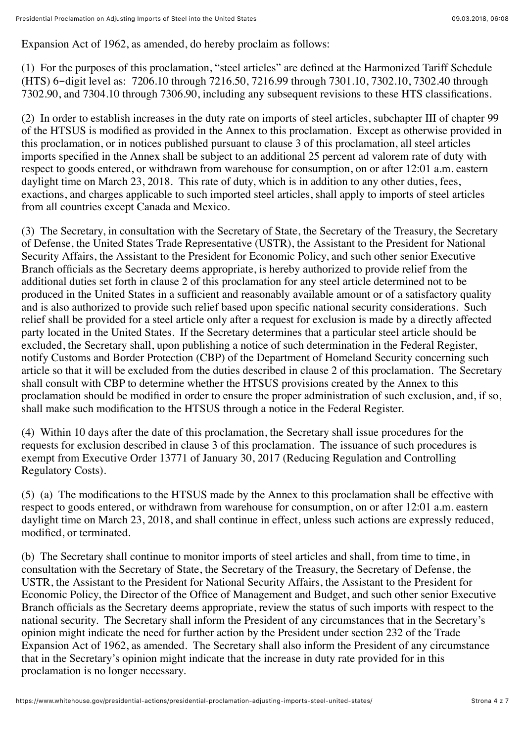Expansion Act of 1962, as amended, do hereby proclaim as follows:

(1) For the purposes of this proclamation, "steel articles" are defined at the Harmonized Tariff Schedule (HTS) 6-digit level as: 7206.10 through 7216.50, 7216.99 through 7301.10, 7302.10, 7302.40 through 7302.90, and 7304.10 through 7306.90, including any subsequent revisions to these HTS classifications.

(2) In order to establish increases in the duty rate on imports of steel articles, subchapter III of chapter 99 of the HTSUS is modified as provided in the Annex to this proclamation. Except as otherwise provided in this proclamation, or in notices published pursuant to clause 3 of this proclamation, all steel articles imports specified in the Annex shall be subject to an additional 25 percent ad valorem rate of duty with respect to goods entered, or withdrawn from warehouse for consumption, on or after 12:01 a.m. eastern daylight time on March 23, 2018. This rate of duty, which is in addition to any other duties, fees, exactions, and charges applicable to such imported steel articles, shall apply to imports of steel articles from all countries except Canada and Mexico.

(3) The Secretary, in consultation with the Secretary of State, the Secretary of the Treasury, the Secretary of Defense, the United States Trade Representative (USTR), the Assistant to the President for National Security Affairs, the Assistant to the President for Economic Policy, and such other senior Executive Branch officials as the Secretary deems appropriate, is hereby authorized to provide relief from the additional duties set forth in clause 2 of this proclamation for any steel article determined not to be produced in the United States in a sufficient and reasonably available amount or of a satisfactory quality and is also authorized to provide such relief based upon specific national security considerations. Such relief shall be provided for a steel article only after a request for exclusion is made by a directly affected party located in the United States. If the Secretary determines that a particular steel article should be excluded, the Secretary shall, upon publishing a notice of such determination in the Federal Register, notify Customs and Border Protection (CBP) of the Department of Homeland Security concerning such article so that it will be excluded from the duties described in clause 2 of this proclamation. The Secretary shall consult with CBP to determine whether the HTSUS provisions created by the Annex to this proclamation should be modified in order to ensure the proper administration of such exclusion, and, if so, shall make such modification to the HTSUS through a notice in the Federal Register.

(4) Within 10 days after the date of this proclamation, the Secretary shall issue procedures for the requests for exclusion described in clause 3 of this proclamation. The issuance of such procedures is exempt from Executive Order 13771 of January 30, 2017 (Reducing Regulation and Controlling Regulatory Costs).

(5) (a) The modifications to the HTSUS made by the Annex to this proclamation shall be effective with respect to goods entered, or withdrawn from warehouse for consumption, on or after 12:01 a.m. eastern daylight time on March 23, 2018, and shall continue in effect, unless such actions are expressly reduced, modified, or terminated.

(b) The Secretary shall continue to monitor imports of steel articles and shall, from time to time, in consultation with the Secretary of State, the Secretary of the Treasury, the Secretary of Defense, the USTR, the Assistant to the President for National Security Affairs, the Assistant to the President for Economic Policy, the Director of the Office of Management and Budget, and such other senior Executive Branch officials as the Secretary deems appropriate, review the status of such imports with respect to the national security. The Secretary shall inform the President of any circumstances that in the Secretary's opinion might indicate the need for further action by the President under section 232 of the Trade Expansion Act of 1962, as amended. The Secretary shall also inform the President of any circumstance that in the Secretary's opinion might indicate that the increase in duty rate provided for in this proclamation is no longer necessary.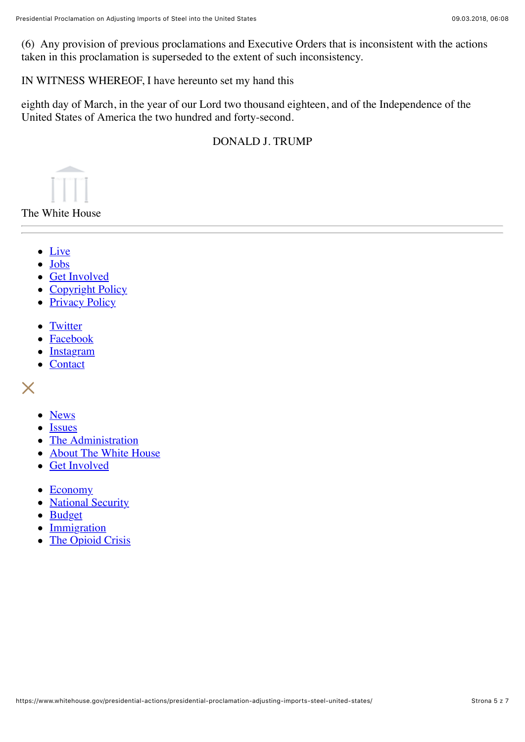(6) Any provision of previous proclamations and Executive Orders that is inconsistent with the actions taken in this proclamation is superseded to the extent of such inconsistency.

IN WITNESS WHEREOF, I have hereunto set my hand this

eighth day of March, in the year of our Lord two thousand eighteen, and of the Independence of the United States of America the two hundred and forty-second.

## DONALD J. TRUMP

The White House

- [Live](https://www.whitehouse.gov/live/)
- [Jobs](https://apply.whitehouse.gov/)
- [Get Involved](https://www.whitehouse.gov/get-involved/)
- [Copyright Policy](https://www.whitehouse.gov/copyright/)
- **[Privacy Policy](https://www.whitehouse.gov/privacy-policy/)**  $\bullet$
- **[Twitter](https://twitter.com/whitehouse)**  $\bullet$
- [Facebook](https://www.facebook.com/WhiteHouse/)  $\bullet$
- [Instagram](https://www.instagram.com/whitehouse/)
- [Contact](https://www.whitehouse.gov/contact/)

X

- [News](https://www.whitehouse.gov/news/)  $\bullet$
- [Issues](https://www.whitehouse.gov/issues/)
- [The Administration](https://www.whitehouse.gov/the-trump-administration/)
- [About The White House](https://www.whitehouse.gov/about-the-white-house/)  $\bullet$
- [Get Involved](https://www.whitehouse.gov/get-involved/)  $\bullet$
- **[Economy](https://www.whitehouse.gov/issues/economy-jobs/)**  $\bullet$
- **[National Security](https://www.whitehouse.gov/issues/national-security-defense/)**  $\bullet$
- [Budget](https://www.whitehouse.gov/issues/budget-spending/)  $\bullet$
- [Immigration](https://www.whitehouse.gov/issues/immigration/)  $\bullet$
- [The Opioid Crisis](https://www.whitehouse.gov/opioids/)  $\bullet$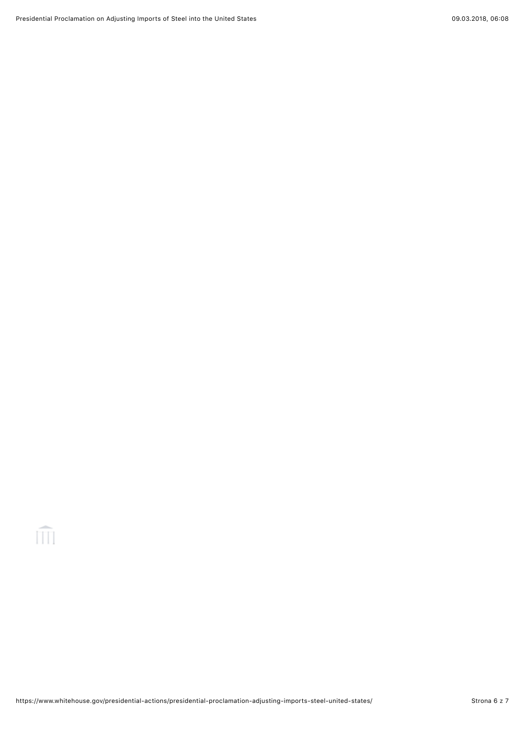## m